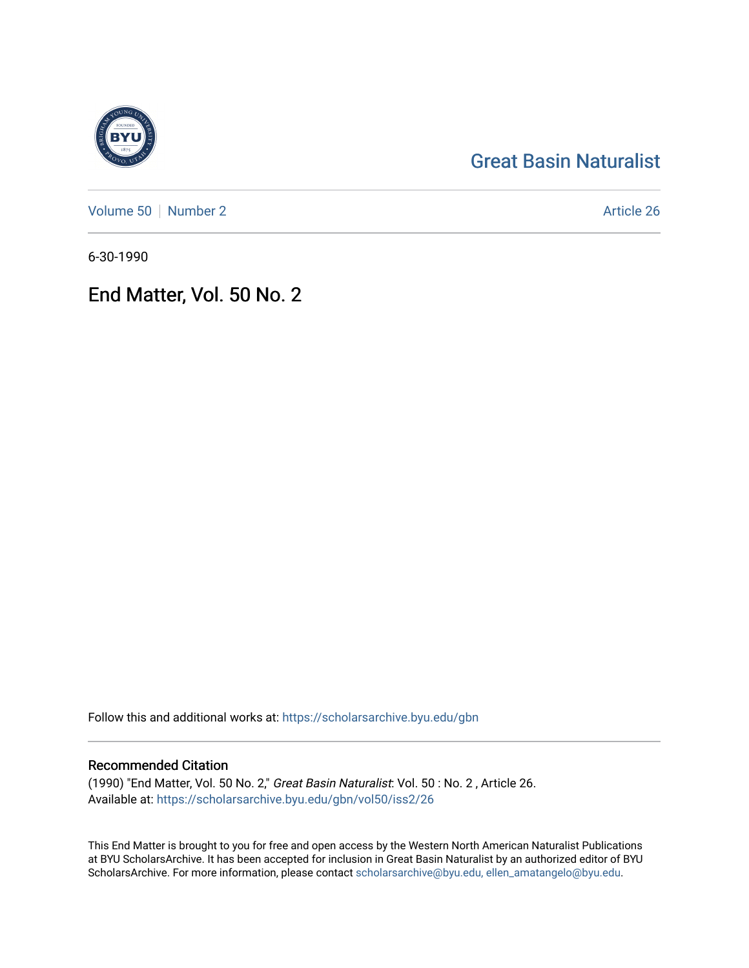## [Great Basin Naturalist](https://scholarsarchive.byu.edu/gbn)

[Volume 50](https://scholarsarchive.byu.edu/gbn/vol50) [Number 2](https://scholarsarchive.byu.edu/gbn/vol50/iss2) Article 26

6-30-1990

### End Matter, Vol. 50 No. 2

Follow this and additional works at: [https://scholarsarchive.byu.edu/gbn](https://scholarsarchive.byu.edu/gbn?utm_source=scholarsarchive.byu.edu%2Fgbn%2Fvol50%2Fiss2%2F26&utm_medium=PDF&utm_campaign=PDFCoverPages) 

#### Recommended Citation

(1990) "End Matter, Vol. 50 No. 2," Great Basin Naturalist: Vol. 50 : No. 2 , Article 26. Available at: [https://scholarsarchive.byu.edu/gbn/vol50/iss2/26](https://scholarsarchive.byu.edu/gbn/vol50/iss2/26?utm_source=scholarsarchive.byu.edu%2Fgbn%2Fvol50%2Fiss2%2F26&utm_medium=PDF&utm_campaign=PDFCoverPages) 

This End Matter is brought to you for free and open access by the Western North American Naturalist Publications at BYU ScholarsArchive. It has been accepted for inclusion in Great Basin Naturalist by an authorized editor of BYU ScholarsArchive. For more information, please contact [scholarsarchive@byu.edu, ellen\\_amatangelo@byu.edu.](mailto:scholarsarchive@byu.edu,%20ellen_amatangelo@byu.edu)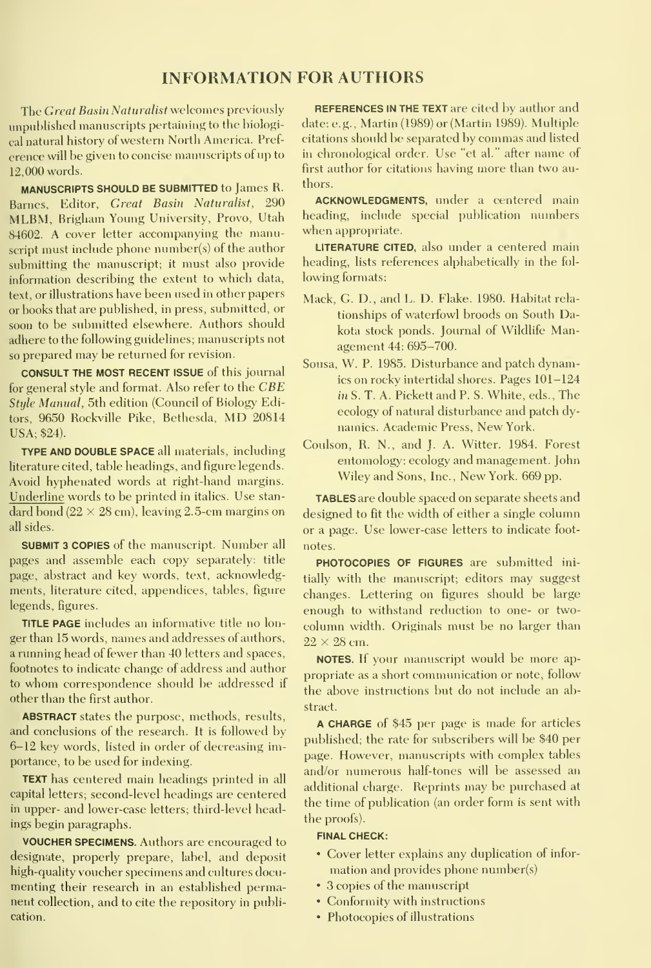#### INFORMATION FOR AUTHORS

The Great Basin Naturalist welcomes previously unpublished manuscripts pertaining to the biological natural history of western North America. Pref erence will be given to concise manuscripts of up to 12,000 words.

MANUSCRIPTS SHOULD BE SUBMITTED to James R. Barnes, Editor, Great Basin Naturalist, 290 MLBM, Brigham Young University, Provo, Utah 84602. A cover letter accompanying the manuscript must include phone number(s) of the author submitting the manuscript; it must also provide information describing the extent to which data, text, or illustrations have been used in other papers or books that are published, in press, submitted, or soon to be submitted elsewhere. Authors should adhere to the following guidelines; manuscripts not so prepared may be returned for revision.

CONSULT THE MOST RECENT ISSUE of this journal for general style and format. Also refer to the CBE Style Manual, 5th edition (Council of Biology Editors, <sup>9650</sup> Rockville Pike, Bethesda, MD <sup>20814</sup> USA; \$24).

TYPE AND DOUBLE SPACE all materials, including hterature cited, table headings, and figure legends. Avoid hyphenated words at right-hand margins. Underline words to be printed in italics. Use stan dard bond ( $22 \times 28$  cm), leaving 2.5-cm margins on all sides.

SUBMIT <sup>3</sup> COPIES of the manuscript. Number allpages and assemble each copy separately: title page, abstract and key words, text, acknowledgments, literature cited, appendices, tables, figure legends, figures.

TITLE PAGE includes an informative title no lon ger than 15 words, names and addresses of authors, a running head of fewer than 40 letters and spaces, footnotes to indicate change of address and author to whom correspondence should be addressed if other than the first author.

ABSTRACT states the purpose, methods, results, and conclusions of the research. It is followed by 6-12 key words, listed in order of decreasing importance, to be used for indexing.

TEXT has centered main headings printed in all capital letters; second-level headings are centered in upper- and lower-case letters; third-level headings begin paragraphs.

VOUCHER SPECIMENS. Authors are encouraged to designate, properly prepare, label, and deposit high-quality voucher specimens and cultures documenting their research in an established permanent collection, and to cite the repository in publication.

REFERENCES IN THE TEXT are cited by author and date: e.g., Martin (1989) or (Martin 1989). Multiple citations should be separated by commas and listed in chronological order. Use "et al." after name of first author for citations having more than two authors.

ACKNOWLEDGMENTS, under a centered main heading, include special publication numbers when appropriate.

LITERATURE CITED, also under a centered main heading, lists references alphabetically in the fol lowing formats:

- Mack, G. D., and L. D. Flake. 1980. Habitat rela tionships of waterfowl broods on South Dakota stock ponds. Journal of Wildlife Management 44: 695-700.
- Sousa, W. P. 1985. Disturbance and patch dynamics on rocky intertidal shores. Pages 101-124 in S. T. A. Pickett and P. S. White, eds. , The ecology of natural disturbance and patch dy namics. Academic Press, New York.
- Coulson, R. N., and J. A. Witter. 1984. Forest entomology: ecology and management. John Wiley and Sons, Inc., New York. 669 pp.

TABLES are double spaced on separate sheets and designed to fit the width of either a single column or a page. Use lower-case letters to indicate foot notes.

PHOTOCOPIES OF FIGURES are submitted initially with the manuscript; editors may suggest changes. Lettering on figures should be large enough to withstand reduction to one- or two column width. Originals must be no larger than  $22 \times 28$  cm.

NOTES. If your manuscript would be more ap propriate as a short communication or note, follow the above instructions but do not include an abstract.

A CHARGE of \$45 per page is made for articles published; the rate for subscribers will be \$40 per page. However, manuscripts with complex tables and/or numerous half-tones will be assessed an additional charge. Reprints may be purchased at the time of publication (an order form is sent with the proofs).

#### FINAL CHECK:

- Cover letter explains any duplication of infor mation and provides phone number(s)
- 3 copies of the manuscript
- Conformity with instructions
- Photocopies of illustrations